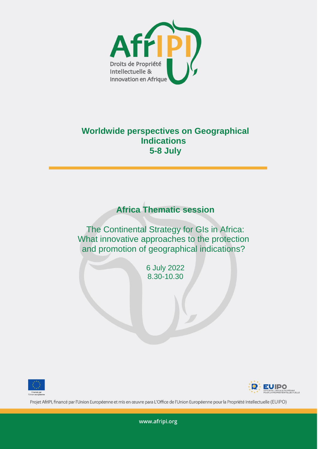

## **Worldwide perspectives on Geographical Indications 5-8 July**

## **Africa Thematic session**

The Continental Strategy for GIs in Africa: What innovative approaches to the protection and promotion of geographical indications?

> 6 July 2022 8.30-10.30





Projet AfrIPI, financé par l'Union Européenne et mis en œuvre para L'Office de l'Union Européenne pour la Propriété Intellectuelle (EUIPO)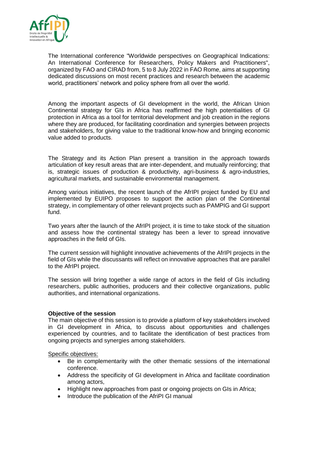

The International conference "Worldwide perspectives on Geographical Indications: An International Conference for Researchers, Policy Makers and Practitioners", organized by FAO and CIRAD from, 5 to 8 July 2022 in FAO Rome, aims at supporting dedicated discussions on most recent practices and research between the academic world, practitioners' network and policy sphere from all over the world.

Among the important aspects of GI development in the world, the African Union Continental strategy for GIs in Africa has reaffirmed the high potentialities of GI protection in Africa as a tool for territorial development and job creation in the regions where they are produced, for facilitating coordination and synergies between projects and stakeholders, for giving value to the traditional know-how and bringing economic value added to products.

The Strategy and its Action Plan present a transition in the approach towards articulation of key result areas that are inter-dependent, and mutually reinforcing; that is, strategic issues of production & productivity, agri-business & agro-industries, agricultural markets, and sustainable environmental management.

Among various initiatives, the recent launch of the AfrIPI project funded by EU and implemented by EUIPO proposes to support the action plan of the Continental strategy, in complementary of other relevant projects such as PAMPIG and GI support fund.

Two years after the launch of the AfrIPI project, it is time to take stock of the situation and assess how the continental strategy has been a lever to spread innovative approaches in the field of GIs.

The current session will highlight innovative achievements of the AfrIPI projects in the field of GIs while the discussants will reflect on innovative approaches that are parallel to the AfrIPI project.

The session will bring together a wide range of actors in the field of GIs including researchers, public authorities, producers and their collective organizations, public authorities, and international organizations.

## **Objective of the session**

The main objective of this session is to provide a platform of key stakeholders involved in GI development in Africa, to discuss about opportunities and challenges experienced by countries, and to facilitate the identification of best practices from ongoing projects and synergies among stakeholders.

Specific objectives:

- Be in complementarity with the other thematic sessions of the international conference.
- Address the specificity of GI development in Africa and facilitate coordination among actors,
- Highlight new approaches from past or ongoing projects on GIs in Africa;
- Introduce the publication of the AfriPI GI manual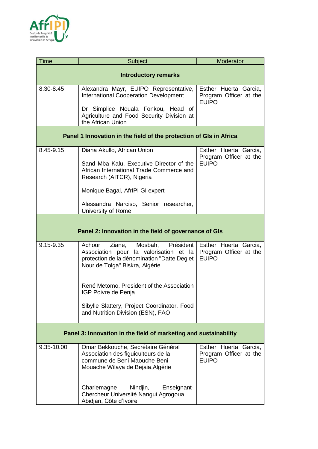

| <b>Time</b>                                                        | Subject                                                                                                                                                          | Moderator                                                       |  |
|--------------------------------------------------------------------|------------------------------------------------------------------------------------------------------------------------------------------------------------------|-----------------------------------------------------------------|--|
| <b>Introductory remarks</b>                                        |                                                                                                                                                                  |                                                                 |  |
| 8.30-8.45                                                          | Alexandra Mayr, EUIPO Representative,<br><b>International Cooperation Development</b>                                                                            | Esther Huerta Garcia,<br>Program Officer at the<br><b>EUIPO</b> |  |
|                                                                    | Dr Simplice Nouala Fonkou, Head of<br>Agriculture and Food Security Division at<br>the African Union                                                             |                                                                 |  |
| Panel 1 Innovation in the field of the protection of GIs in Africa |                                                                                                                                                                  |                                                                 |  |
| 8.45-9.15                                                          | Diana Akullo, African Union                                                                                                                                      | Esther Huerta Garcia,<br>Program Officer at the<br><b>EUIPO</b> |  |
|                                                                    | Sand Mba Kalu, Executive Director of the<br>African International Trade Commerce and<br>Research (AITCR), Nigeria                                                |                                                                 |  |
|                                                                    | Monique Bagal, AfrIPI GI expert                                                                                                                                  |                                                                 |  |
|                                                                    | Alessandra Narciso, Senior researcher,<br>University of Rome                                                                                                     |                                                                 |  |
| Panel 2: Innovation in the field of governance of GIs              |                                                                                                                                                                  |                                                                 |  |
|                                                                    |                                                                                                                                                                  |                                                                 |  |
| 9.15-9.35                                                          | Achour<br>Ziane, Mosbah,<br>Président<br>Association pour la valorisation et la<br>protection de la dénomination "Datte Deglet<br>Nour de Tolga" Biskra, Algérie | Esther Huerta Garcia,<br>Program Officer at the<br><b>EUIPO</b> |  |
|                                                                    | René Metomo, President of the Association<br>IGP Poivre de Penja                                                                                                 |                                                                 |  |
|                                                                    | Sibylle Slattery, Project Coordinator, Food<br>and Nutrition Division (ESN), FAO                                                                                 |                                                                 |  |
| Panel 3: Innovation in the field of marketing and sustainability   |                                                                                                                                                                  |                                                                 |  |
| 9.35-10.00                                                         | Omar Bekkouche, Secrétaire Général<br>Association des figuiculteurs de la<br>commune de Beni Maouche Beni<br>Mouache Wilaya de Bejaia, Algérie                   | Esther Huerta Garcia,<br>Program Officer at the<br><b>EUIPO</b> |  |
|                                                                    | Charlemagne<br>Nindjin,<br>Enseignant-<br>Chercheur Université Nangui Agrogoua<br>Abidjan, Côte d'Ivoire                                                         |                                                                 |  |